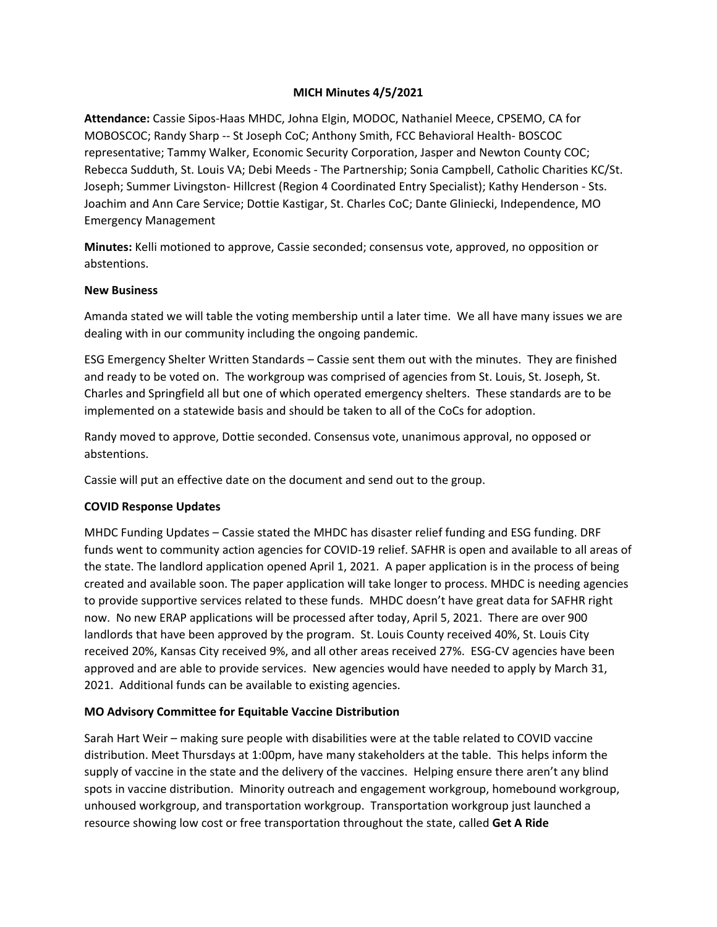### **MICH Minutes 4/5/2021**

**Attendance:** Cassie Sipos-Haas MHDC, Johna Elgin, MODOC, Nathaniel Meece, CPSEMO, CA for MOBOSCOC; Randy Sharp -- St Joseph CoC; Anthony Smith, FCC Behavioral Health- BOSCOC representative; Tammy Walker, Economic Security Corporation, Jasper and Newton County COC; Rebecca Sudduth, St. Louis VA; Debi Meeds - The Partnership; Sonia Campbell, Catholic Charities KC/St. Joseph; Summer Livingston- Hillcrest (Region 4 Coordinated Entry Specialist); Kathy Henderson - Sts. Joachim and Ann Care Service; Dottie Kastigar, St. Charles CoC; Dante Gliniecki, Independence, MO Emergency Management

**Minutes:** Kelli motioned to approve, Cassie seconded; consensus vote, approved, no opposition or abstentions.

#### **New Business**

Amanda stated we will table the voting membership until a later time. We all have many issues we are dealing with in our community including the ongoing pandemic.

ESG Emergency Shelter Written Standards – Cassie sent them out with the minutes. They are finished and ready to be voted on. The workgroup was comprised of agencies from St. Louis, St. Joseph, St. Charles and Springfield all but one of which operated emergency shelters. These standards are to be implemented on a statewide basis and should be taken to all of the CoCs for adoption.

Randy moved to approve, Dottie seconded. Consensus vote, unanimous approval, no opposed or abstentions.

Cassie will put an effective date on the document and send out to the group.

### **COVID Response Updates**

MHDC Funding Updates – Cassie stated the MHDC has disaster relief funding and ESG funding. DRF funds went to community action agencies for COVID-19 relief. SAFHR is open and available to all areas of the state. The landlord application opened April 1, 2021. A paper application is in the process of being created and available soon. The paper application will take longer to process. MHDC is needing agencies to provide supportive services related to these funds. MHDC doesn't have great data for SAFHR right now. No new ERAP applications will be processed after today, April 5, 2021. There are over 900 landlords that have been approved by the program. St. Louis County received 40%, St. Louis City received 20%, Kansas City received 9%, and all other areas received 27%. ESG-CV agencies have been approved and are able to provide services. New agencies would have needed to apply by March 31, 2021. Additional funds can be available to existing agencies.

### **MO Advisory Committee for Equitable Vaccine Distribution**

Sarah Hart Weir – making sure people with disabilities were at the table related to COVID vaccine distribution. Meet Thursdays at 1:00pm, have many stakeholders at the table. This helps inform the supply of vaccine in the state and the delivery of the vaccines. Helping ensure there aren't any blind spots in vaccine distribution. Minority outreach and engagement workgroup, homebound workgroup, unhoused workgroup, and transportation workgroup. Transportation workgroup just launched a resource showing low cost or free transportation throughout the state, called **Get A Ride**